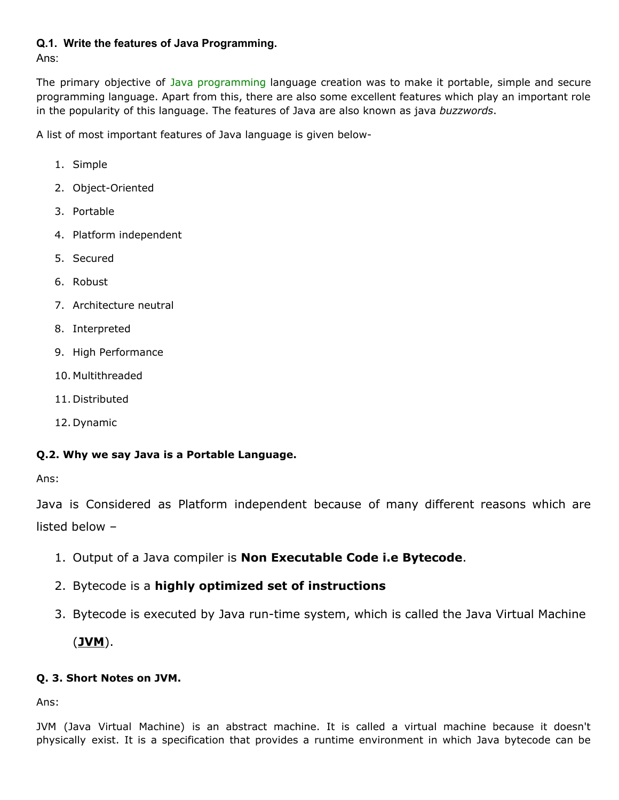#### **Q.1. Write the features of Java Programming.**

Ans:

The primary objective of Java [programming](https://www.javatpoint.com/java-tutorial) language creation was to make it portable, simple and secure programming language. Apart from this, there are also some excellent features which play an important role in the popularity of this language. The features of Java are also known as java *buzzwords*.

A list of most important features of Java language is given below-

- 1. Simple
- 2. Object-Oriented
- 3. Portable
- 4. Platform independent
- 5. Secured
- 6. Robust
- 7. Architecture neutral
- 8. Interpreted
- 9. High Performance
- 10. Multithreaded
- 11. Distributed
- 12. Dynamic

## **Q.2. Why we say Java is a Portable Language.**

Ans:

Java is Considered as Platform independent because of many different reasons which are listed below –

- 1. Output of a Java compiler is **Non Executable Code i.e Bytecode**.
- 2. Bytecode is a **highly optimized set of instructions**
- 3. Bytecode is executed by Java run-time system, which is called the Java Virtual Machine (**JVM**).

## **Q. 3. Short Notes on JVM.**

Ans:

JVM (Java Virtual Machine) is an abstract machine. It is called a virtual machine because it doesn't physically exist. It is a specification that provides a runtime environment in which Java bytecode can be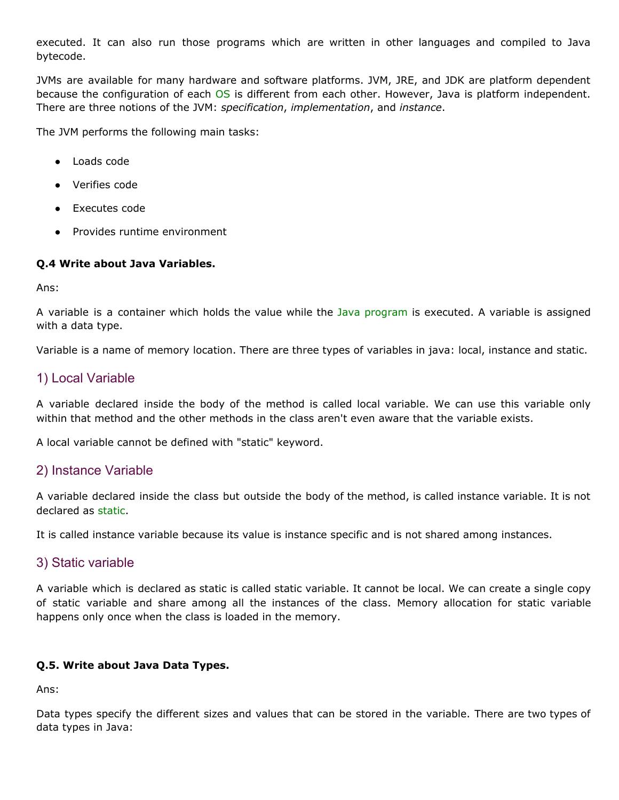executed. It can also run those programs which are written in other languages and compiled to Java bytecode.

JVMs are available for many hardware and software platforms. JVM, JRE, and JDK are platform dependent because the configuration of each [OS](https://www.javatpoint.com/os-tutorial) is different from each other. However, Java is platform independent. There are three notions of the JVM: *specification*, *implementation*, and *instance*.

The JVM performs the following main tasks:

- Loads code
- **Verifies code**
- Executes code
- **Provides runtime environment**

#### **Q.4 Write about Java Variables.**

Ans:

A variable is a container which holds the value while the Java [program](https://www.javatpoint.com/simple-program-of-java) is executed. A variable is assigned with a data type.

Variable is a name of memory location. There are three types of variables in java: local, instance and static.

## 1) Local Variable

A variable declared inside the body of the method is called local variable. We can use this variable only within that method and the other methods in the class aren't even aware that the variable exists.

A local variable cannot be defined with "static" keyword.

## 2) Instance Variable

A variable declared inside the class but outside the body of the method, is called instance variable. It is not declared as [static.](https://www.javatpoint.com/static-keyword-in-java)

It is called instance variable because its value is instance specific and is not shared among instances.

## 3) Static variable

A variable which is declared as static is called static variable. It cannot be local. We can create a single copy of static variable and share among all the instances of the class. Memory allocation for static variable happens only once when the class is loaded in the memory.

#### **Q.5. Write about Java Data Types.**

Ans:

Data types specify the different sizes and values that can be stored in the variable. There are two types of data types in Java: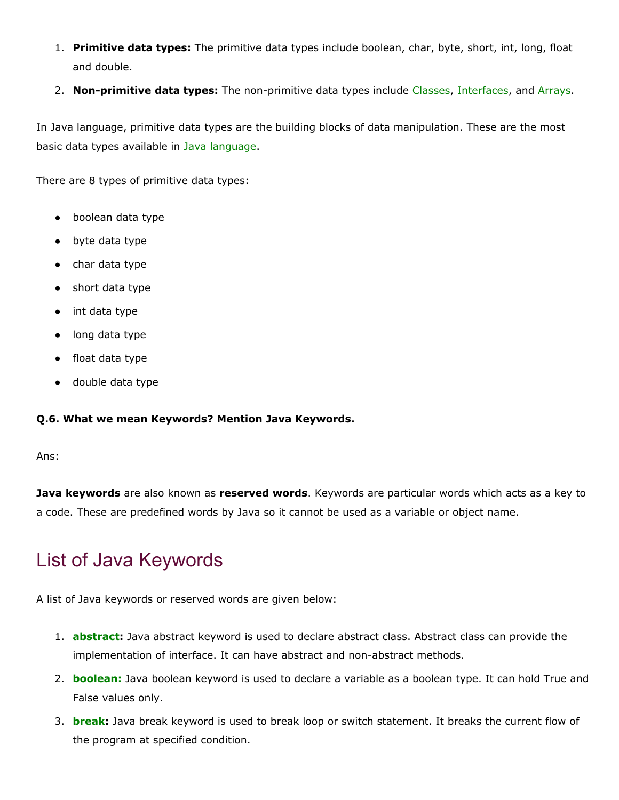- 1. **Primitive data types:** The primitive data types include boolean, char, byte, short, int, long, float and double.
- 2. **Non-primitive data types:** The non-primitive data types include [Classes,](https://www.javatpoint.com/object-and-class-in-java) [Interfaces](https://www.javatpoint.com/interface-in-java), and [Arrays.](https://www.javatpoint.com/array-in-java)

In Java language, primitive data types are the building blocks of data manipulation. These are the most basic data types available in Java [language.](https://www.javatpoint.com/java-tutorial)

There are 8 types of primitive data types:

- boolean data type
- byte data type
- char data type
- short data type
- int data type
- long data type
- float data type
- double data type

#### **Q.6. What we mean Keywords? Mention Java Keywords.**

Ans:

**Java keywords** are also known as **reserved words**. Keywords are particular words which acts as a key to a code. These are predefined words by Java so it cannot be used as a variable or object name.

## List of Java Keywords

A list of Java keywords or reserved words are given below:

- 1. **[abstract](https://www.javatpoint.com/abstract-keyword-in-java):** Java abstract keyword is used to declare abstract class. Abstract class can provide the implementation of interface. It can have abstract and non-abstract methods.
- 2. **[boolean:](https://www.javatpoint.com/boolean-keyword-in-java)** Java boolean keyword is used to declare a variable as a boolean type. It can hold True and False values only.
- 3. **[break:](https://www.javatpoint.com/java-break)** Java break keyword is used to break loop or switch statement. It breaks the current flow of the program at specified condition.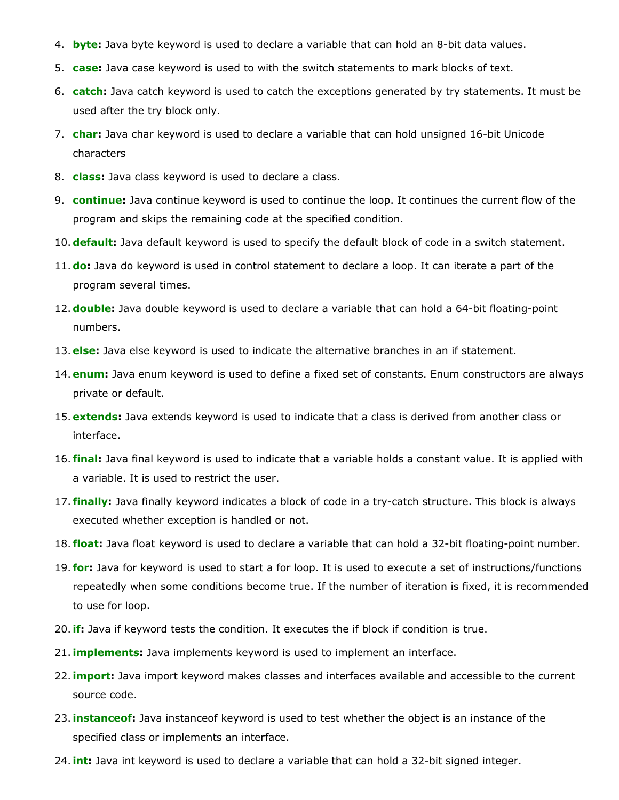- 4. **[byte:](https://www.javatpoint.com/byte-keyword-in-java)** Java byte keyword is used to declare a variable that can hold an 8-bit data values.
- 5. **[case:](https://www.javatpoint.com/case-keyword-in-java)** Java case keyword is used to with the switch statements to mark blocks of text.
- 6. **[catch](https://www.javatpoint.com/try-catch-block):** Java catch keyword is used to catch the exceptions generated by try statements. It must be used after the try block only.
- 7. **[char:](https://www.javatpoint.com/char-keyword-in-java)** Java char keyword is used to declare a variable that can hold unsigned 16-bit Unicode characters
- 8. **[class:](https://www.javatpoint.com/class-keyword-in-java)** Java class keyword is used to declare a class.
- 9. **[continue:](https://www.javatpoint.com/java-continue)** Java continue keyword is used to continue the loop. It continues the current flow of the program and skips the remaining code at the specified condition.
- 10.**[default:](https://www.javatpoint.com/default-keyword-in-java)** Java default keyword is used to specify the default block of code in a switch statement.
- 11.**[do:](https://www.javatpoint.com/java-do-while-loop)** Java do keyword is used in control statement to declare a loop. It can iterate a part of the program several times.
- 12.**[double](https://www.javatpoint.com/double-keyword-in-java):** Java double keyword is used to declare a variable that can hold a 64-bit floating-point numbers.
- 13. **[else](https://www.javatpoint.com/java-if-else):** Java else keyword is used to indicate the alternative branches in an if statement.
- 14. **[enum:](https://www.javatpoint.com/enum-in-java)** Java enum keyword is used to define a fixed set of constants. Enum constructors are always private or default.
- 15. **[extends](https://www.javatpoint.com/inheritance-in-java):** Java extends keyword is used to indicate that a class is derived from another class or interface.
- 16. **[final:](https://www.javatpoint.com/final-keyword)** Java final keyword is used to indicate that a variable holds a constant value. It is applied with a variable. It is used to restrict the user.
- 17. **[finally](https://www.javatpoint.com/finally-block-in-exception-handling):** Java finally keyword indicates a block of code in a try-catch structure. This block is always executed whether exception is handled or not.
- 18. **[float:](https://www.javatpoint.com/float-keyword-in-java)** Java float keyword is used to declare a variable that can hold a 32-bit floating-point number.
- 19. **[for](https://www.javatpoint.com/java-for-loop):** Java for keyword is used to start a for loop. It is used to execute a set of instructions/functions repeatedly when some conditions become true. If the number of iteration is fixed, it is recommended to use for loop.
- 20.**[if:](https://www.javatpoint.com/java-if-else)** Java if keyword tests the condition. It executes the if block if condition is true.
- 21.**[implements:](https://www.javatpoint.com/interface-in-java)** Java implements keyword is used to implement an interface.
- 22.**[import:](https://www.javatpoint.com/package)** Java import keyword makes classes and interfaces available and accessible to the current source code.
- 23.**[instanceof](https://www.javatpoint.com/downcasting-with-instanceof-operator):** Java instanceof keyword is used to test whether the object is an instance of the specified class or implements an interface.
- 24.**[int](https://www.javatpoint.com/int-keyword-in-java):** Java int keyword is used to declare a variable that can hold a 32-bit signed integer.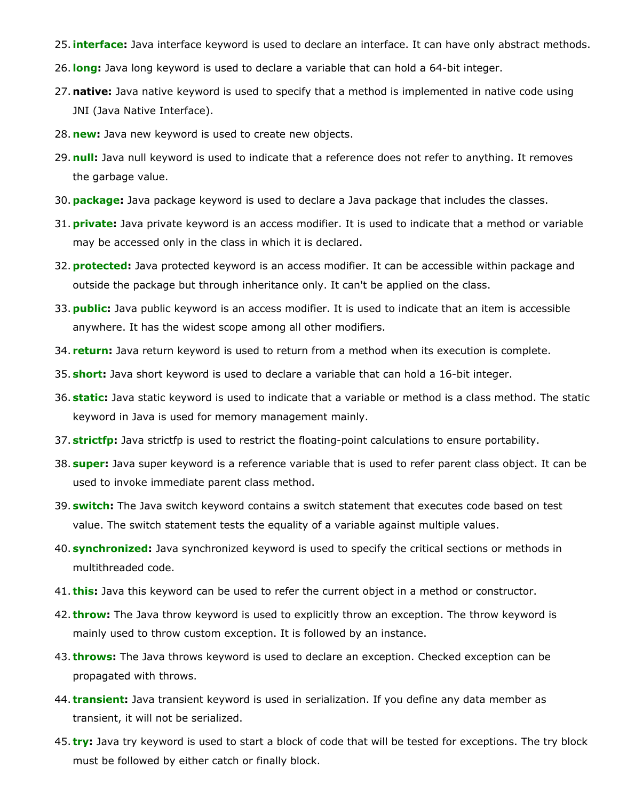- 25.**[interface](https://www.javatpoint.com/interface-in-java):** Java interface keyword is used to declare an interface. It can have only abstract methods.
- 26.**[long:](https://www.javatpoint.com/long-keyword-in-java)** Java long keyword is used to declare a variable that can hold a 64-bit integer.
- 27. **native:** Java native keyword is used to specify that a method is implemented in native code using JNI (Java Native Interface).
- 28. **[new](https://www.javatpoint.com/new-keyword-in-java):** Java new keyword is used to create new objects.
- 29. **[null](https://www.javatpoint.com/null-keyword-in-java):** Java null keyword is used to indicate that a reference does not refer to anything. It removes the garbage value.
- 30.**[package](https://www.javatpoint.com/package):** Java package keyword is used to declare a Java package that includes the classes.
- 31.**[private:](https://www.javatpoint.com/private-keyword-in-java)** Java private keyword is an access modifier. It is used to indicate that a method or variable may be accessed only in the class in which it is declared.
- 32.**[protected](https://www.javatpoint.com/protected-keyword-in-java):** Java protected keyword is an access modifier. It can be accessible within package and outside the package but through inheritance only. It can't be applied on the class.
- 33.**[public:](https://www.javatpoint.com/public-keyword-in-java)** Java public keyword is an access modifier. It is used to indicate that an item is accessible anywhere. It has the widest scope among all other modifiers.
- 34. **[return](https://www.javatpoint.com/return-keyword-in-java):** Java return keyword is used to return from a method when its execution is complete.
- 35. **[short](https://www.javatpoint.com/short-keyword-in-java):** Java short keyword is used to declare a variable that can hold a 16-bit integer.
- 36. **[static](https://www.javatpoint.com/static-keyword-in-java):** Java static keyword is used to indicate that a variable or method is a class method. The static keyword in Java is used for memory management mainly.
- 37. **[strictfp](https://www.javatpoint.com/strictfp-keyword):** Java strictfp is used to restrict the floating-point calculations to ensure portability.
- 38. **[super:](https://www.javatpoint.com/super-keyword)** Java super keyword is a reference variable that is used to refer parent class object. It can be used to invoke immediate parent class method.
- 39. **[switch:](https://www.javatpoint.com/java-switch)** The Java switch keyword contains a switch statement that executes code based on test value. The switch statement tests the equality of a variable against multiple values.
- 40. **[synchronized](https://www.javatpoint.com/synchronization-in-java):** Java synchronized keyword is used to specify the critical sections or methods in multithreaded code.
- 41. **[this](https://www.javatpoint.com/this-keyword):** Java this keyword can be used to refer the current object in a method or constructor.
- 42. **[throw](https://www.javatpoint.com/throw-keyword):** The Java throw keyword is used to explicitly throw an exception. The throw keyword is mainly used to throw custom exception. It is followed by an instance.
- 43. **[throws](https://www.javatpoint.com/throws-keyword-and-difference-between-throw-and-throws):** The Java throws keyword is used to declare an exception. Checked exception can be propagated with throws.
- 44. **[transient:](https://www.javatpoint.com/transient-keyword)** Java transient keyword is used in serialization. If you define any data member as transient, it will not be serialized.
- 45. **[try](https://www.javatpoint.com/try-catch-block):** Java try keyword is used to start a block of code that will be tested for exceptions. The try block must be followed by either catch or finally block.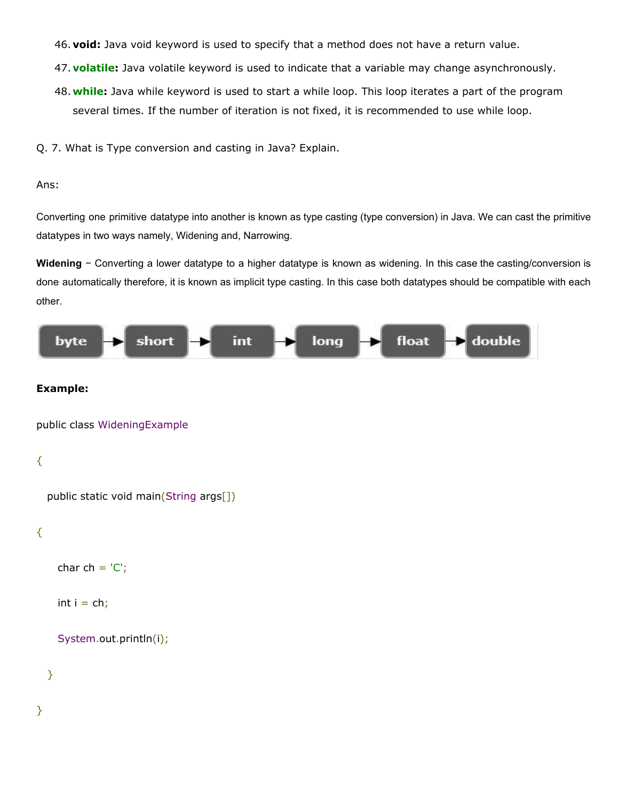- 46. **void:** Java void keyword is used to specify that a method does not have a return value.
- 47. **[volatile](https://www.javatpoint.com/volatile-keyword-in-java):** Java volatile keyword is used to indicate that a variable may change asynchronously.
- 48. **[while:](https://www.javatpoint.com/java-while-loop)** Java while keyword is used to start a while loop. This loop iterates a part of the program several times. If the number of iteration is not fixed, it is recommended to use while loop.
- Q. 7. What is Type conversion and casting in Java? Explain.

#### Ans:

Converting one primitive datatype into another is known as type casting (type conversion) in Java. We can cast the primitive datatypes in two ways namely, Widening and, Narrowing.

**Widening** − Converting a lower datatype to a higher datatype is known as widening. In this case the casting/conversion is done automatically therefore, it is known as implicit type casting. In this case both datatypes should be compatible with each other.



#### **Example:**

public class WideningExample

## {

public static void main(String args[])

## {

char  $ch = 'C';$ 

int  $i = ch$ ;

#### System.out.println(i);

}

}